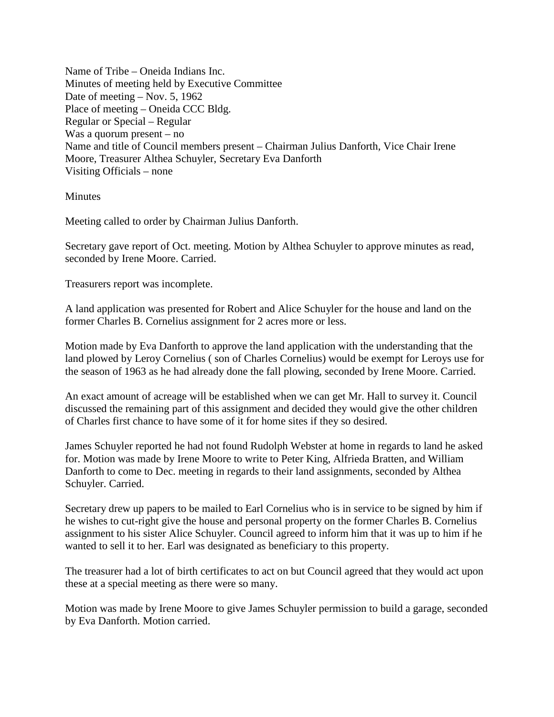Name of Tribe – Oneida Indians Inc. Minutes of meeting held by Executive Committee Date of meeting – Nov. 5, 1962 Place of meeting – Oneida CCC Bldg. Regular or Special – Regular Was a quorum present – no Name and title of Council members present – Chairman Julius Danforth, Vice Chair Irene Moore, Treasurer Althea Schuyler, Secretary Eva Danforth Visiting Officials – none

## **Minutes**

Meeting called to order by Chairman Julius Danforth.

Secretary gave report of Oct. meeting. Motion by Althea Schuyler to approve minutes as read, seconded by Irene Moore. Carried.

Treasurers report was incomplete.

A land application was presented for Robert and Alice Schuyler for the house and land on the former Charles B. Cornelius assignment for 2 acres more or less.

Motion made by Eva Danforth to approve the land application with the understanding that the land plowed by Leroy Cornelius ( son of Charles Cornelius) would be exempt for Leroys use for the season of 1963 as he had already done the fall plowing, seconded by Irene Moore. Carried.

An exact amount of acreage will be established when we can get Mr. Hall to survey it. Council discussed the remaining part of this assignment and decided they would give the other children of Charles first chance to have some of it for home sites if they so desired.

James Schuyler reported he had not found Rudolph Webster at home in regards to land he asked for. Motion was made by Irene Moore to write to Peter King, Alfrieda Bratten, and William Danforth to come to Dec. meeting in regards to their land assignments, seconded by Althea Schuyler. Carried.

Secretary drew up papers to be mailed to Earl Cornelius who is in service to be signed by him if he wishes to cut-right give the house and personal property on the former Charles B. Cornelius assignment to his sister Alice Schuyler. Council agreed to inform him that it was up to him if he wanted to sell it to her. Earl was designated as beneficiary to this property.

The treasurer had a lot of birth certificates to act on but Council agreed that they would act upon these at a special meeting as there were so many.

Motion was made by Irene Moore to give James Schuyler permission to build a garage, seconded by Eva Danforth. Motion carried.